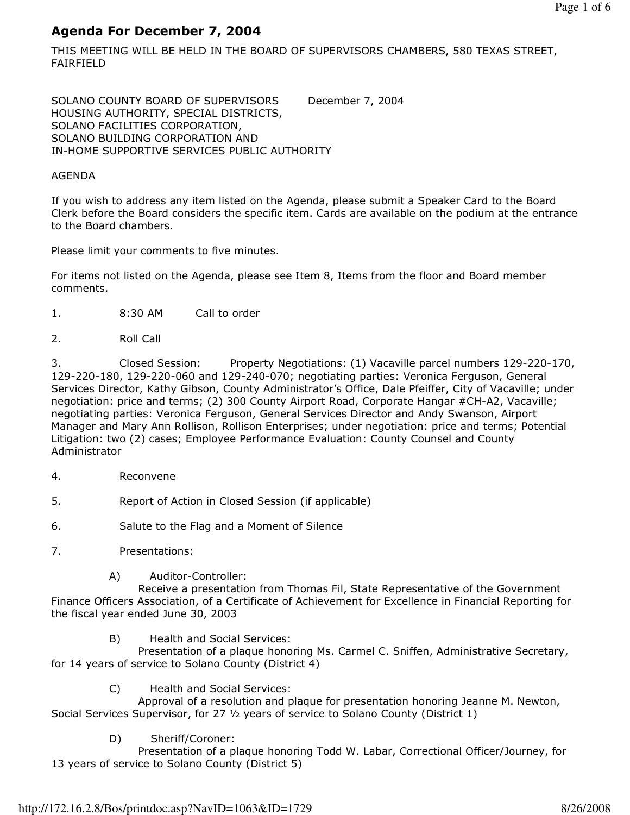## Agenda For December 7, 2004

THIS MEETING WILL BE HELD IN THE BOARD OF SUPERVISORS CHAMBERS, 580 TEXAS STREET, FAIRFIELD

SOLANO COUNTY BOARD OF SUPERVISORS December 7, 2004 HOUSING AUTHORITY, SPECIAL DISTRICTS, SOLANO FACILITIES CORPORATION, SOLANO BUILDING CORPORATION AND IN-HOME SUPPORTIVE SERVICES PUBLIC AUTHORITY

## AGENDA

If you wish to address any item listed on the Agenda, please submit a Speaker Card to the Board Clerk before the Board considers the specific item. Cards are available on the podium at the entrance to the Board chambers.

Please limit your comments to five minutes.

For items not listed on the Agenda, please see Item 8, Items from the floor and Board member comments.

- 1. 8:30 AM Call to order
- 2. Roll Call

3. Closed Session: Property Negotiations: (1) Vacaville parcel numbers 129-220-170, 129-220-180, 129-220-060 and 129-240-070; negotiating parties: Veronica Ferguson, General Services Director, Kathy Gibson, County Administrator's Office, Dale Pfeiffer, City of Vacaville; under negotiation: price and terms; (2) 300 County Airport Road, Corporate Hangar #CH-A2, Vacaville; negotiating parties: Veronica Ferguson, General Services Director and Andy Swanson, Airport Manager and Mary Ann Rollison, Rollison Enterprises; under negotiation: price and terms; Potential Litigation: two (2) cases; Employee Performance Evaluation: County Counsel and County Administrator

- 4. Reconvene
- 5. Report of Action in Closed Session (if applicable)
- 6. Salute to the Flag and a Moment of Silence
- 7. Presentations:
	- A) Auditor-Controller:

 Receive a presentation from Thomas Fil, State Representative of the Government Finance Officers Association, of a Certificate of Achievement for Excellence in Financial Reporting for the fiscal year ended June 30, 2003

B) Health and Social Services:

 Presentation of a plaque honoring Ms. Carmel C. Sniffen, Administrative Secretary, for 14 years of service to Solano County (District 4)

C) Health and Social Services:

 Approval of a resolution and plaque for presentation honoring Jeanne M. Newton, Social Services Supervisor, for 27 ½ years of service to Solano County (District 1)

D) Sheriff/Coroner:

 Presentation of a plaque honoring Todd W. Labar, Correctional Officer/Journey, for 13 years of service to Solano County (District 5)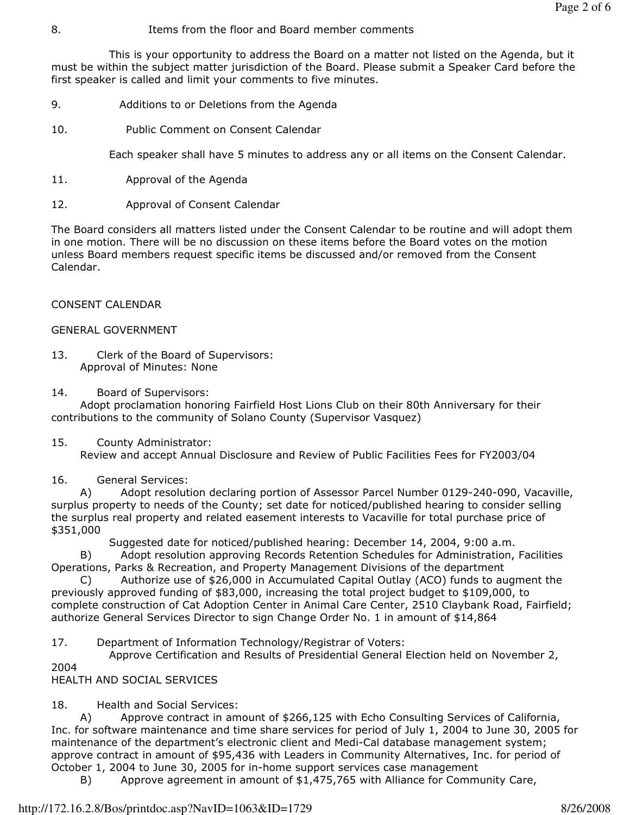8. Items from the floor and Board member comments

 This is your opportunity to address the Board on a matter not listed on the Agenda, but it must be within the subject matter jurisdiction of the Board. Please submit a Speaker Card before the first speaker is called and limit your comments to five minutes.

- 9. Additions to or Deletions from the Agenda
- 10. Public Comment on Consent Calendar

Each speaker shall have 5 minutes to address any or all items on the Consent Calendar.

- 11. Approval of the Agenda
- 12. Approval of Consent Calendar

The Board considers all matters listed under the Consent Calendar to be routine and will adopt them in one motion. There will be no discussion on these items before the Board votes on the motion unless Board members request specific items be discussed and/or removed from the Consent Calendar.

## CONSENT CALENDAR

## GENERAL GOVERNMENT

- 13. Clerk of the Board of Supervisors: Approval of Minutes: None
- 14. Board of Supervisors:

 Adopt proclamation honoring Fairfield Host Lions Club on their 80th Anniversary for their contributions to the community of Solano County (Supervisor Vasquez)

15. County Administrator:

Review and accept Annual Disclosure and Review of Public Facilities Fees for FY2003/04

16. General Services:

 A) Adopt resolution declaring portion of Assessor Parcel Number 0129-240-090, Vacaville, surplus property to needs of the County; set date for noticed/published hearing to consider selling the surplus real property and related easement interests to Vacaville for total purchase price of \$351,000

Suggested date for noticed/published hearing: December 14, 2004, 9:00 a.m.

 B) Adopt resolution approving Records Retention Schedules for Administration, Facilities Operations, Parks & Recreation, and Property Management Divisions of the department

 C) Authorize use of \$26,000 in Accumulated Capital Outlay (ACO) funds to augment the previously approved funding of \$83,000, increasing the total project budget to \$109,000, to complete construction of Cat Adoption Center in Animal Care Center, 2510 Claybank Road, Fairfield; authorize General Services Director to sign Change Order No. 1 in amount of \$14,864

17. Department of Information Technology/Registrar of Voters:

Approve Certification and Results of Presidential General Election held on November 2,

2004

HEALTH AND SOCIAL SERVICES

18. Health and Social Services:

A) Approve contract in amount of \$266,125 with Echo Consulting Services of California, Inc. for software maintenance and time share services for period of July 1, 2004 to June 30, 2005 for maintenance of the department's electronic client and Medi-Cal database management system; approve contract in amount of \$95,436 with Leaders in Community Alternatives, Inc. for period of October 1, 2004 to June 30, 2005 for in-home support services case management

B) Approve agreement in amount of \$1,475,765 with Alliance for Community Care,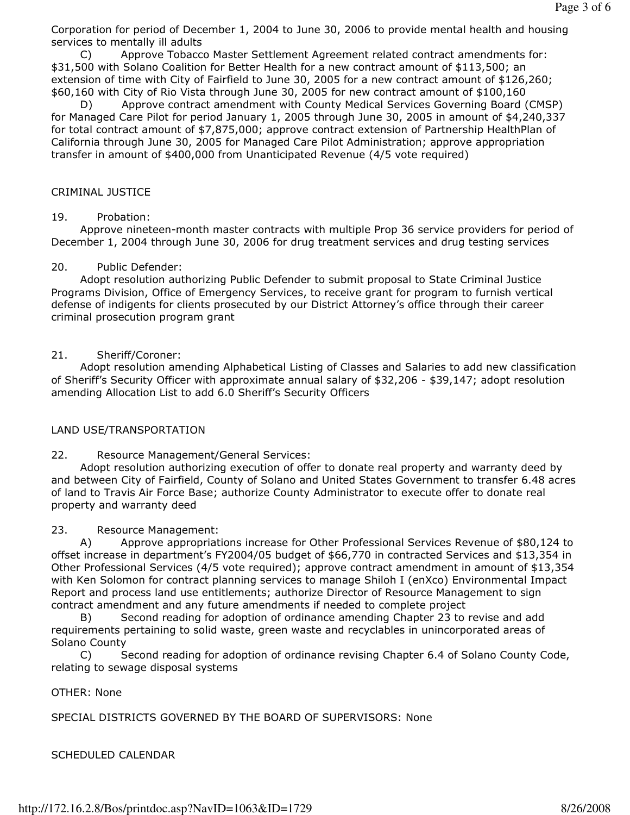Corporation for period of December 1, 2004 to June 30, 2006 to provide mental health and housing services to mentally ill adults

 C) Approve Tobacco Master Settlement Agreement related contract amendments for: \$31,500 with Solano Coalition for Better Health for a new contract amount of \$113,500; an extension of time with City of Fairfield to June 30, 2005 for a new contract amount of \$126,260; \$60,160 with City of Rio Vista through June 30, 2005 for new contract amount of \$100,160

 D) Approve contract amendment with County Medical Services Governing Board (CMSP) for Managed Care Pilot for period January 1, 2005 through June 30, 2005 in amount of \$4,240,337 for total contract amount of \$7,875,000; approve contract extension of Partnership HealthPlan of California through June 30, 2005 for Managed Care Pilot Administration; approve appropriation transfer in amount of \$400,000 from Unanticipated Revenue (4/5 vote required)

### CRIMINAL JUSTICE

#### 19. Probation:

 Approve nineteen-month master contracts with multiple Prop 36 service providers for period of December 1, 2004 through June 30, 2006 for drug treatment services and drug testing services

#### 20. Public Defender:

 Adopt resolution authorizing Public Defender to submit proposal to State Criminal Justice Programs Division, Office of Emergency Services, to receive grant for program to furnish vertical defense of indigents for clients prosecuted by our District Attorney's office through their career criminal prosecution program grant

#### 21. Sheriff/Coroner:

 Adopt resolution amending Alphabetical Listing of Classes and Salaries to add new classification of Sheriff's Security Officer with approximate annual salary of \$32,206 - \$39,147; adopt resolution amending Allocation List to add 6.0 Sheriff's Security Officers

## LAND USE/TRANSPORTATION

## 22. Resource Management/General Services:

 Adopt resolution authorizing execution of offer to donate real property and warranty deed by and between City of Fairfield, County of Solano and United States Government to transfer 6.48 acres of land to Travis Air Force Base; authorize County Administrator to execute offer to donate real property and warranty deed

#### 23. Resource Management:

 A) Approve appropriations increase for Other Professional Services Revenue of \$80,124 to offset increase in department's FY2004/05 budget of \$66,770 in contracted Services and \$13,354 in Other Professional Services (4/5 vote required); approve contract amendment in amount of \$13,354 with Ken Solomon for contract planning services to manage Shiloh I (enXco) Environmental Impact Report and process land use entitlements; authorize Director of Resource Management to sign contract amendment and any future amendments if needed to complete project

 B) Second reading for adoption of ordinance amending Chapter 23 to revise and add requirements pertaining to solid waste, green waste and recyclables in unincorporated areas of Solano County

 C) Second reading for adoption of ordinance revising Chapter 6.4 of Solano County Code, relating to sewage disposal systems

#### OTHER: None

## SPECIAL DISTRICTS GOVERNED BY THE BOARD OF SUPERVISORS: None

## SCHEDULED CALENDAR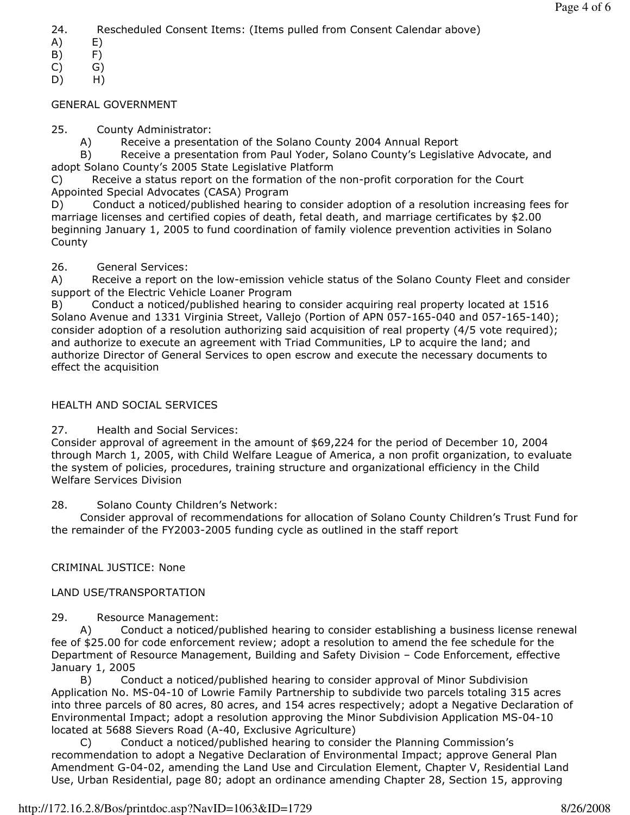24. Rescheduled Consent Items: (Items pulled from Consent Calendar above)

- A) E)
- B) F)
- C) G)
- D) H)

## GENERAL GOVERNMENT

- 25. County Administrator:
	- A) Receive a presentation of the Solano County 2004 Annual Report

 B) Receive a presentation from Paul Yoder, Solano County's Legislative Advocate, and adopt Solano County's 2005 State Legislative Platform

C) Receive a status report on the formation of the non-profit corporation for the Court Appointed Special Advocates (CASA) Program

D) Conduct a noticed/published hearing to consider adoption of a resolution increasing fees for marriage licenses and certified copies of death, fetal death, and marriage certificates by \$2.00 beginning January 1, 2005 to fund coordination of family violence prevention activities in Solano County

26. General Services:

A) Receive a report on the low-emission vehicle status of the Solano County Fleet and consider support of the Electric Vehicle Loaner Program

B) Conduct a noticed/published hearing to consider acquiring real property located at 1516 Solano Avenue and 1331 Virginia Street, Vallejo (Portion of APN 057-165-040 and 057-165-140); consider adoption of a resolution authorizing said acquisition of real property (4/5 vote required); and authorize to execute an agreement with Triad Communities, LP to acquire the land; and authorize Director of General Services to open escrow and execute the necessary documents to effect the acquisition

# HEALTH AND SOCIAL SERVICES

27. Health and Social Services:

Consider approval of agreement in the amount of \$69,224 for the period of December 10, 2004 through March 1, 2005, with Child Welfare League of America, a non profit organization, to evaluate the system of policies, procedures, training structure and organizational efficiency in the Child Welfare Services Division

28. Solano County Children's Network:

 Consider approval of recommendations for allocation of Solano County Children's Trust Fund for the remainder of the FY2003-2005 funding cycle as outlined in the staff report

## CRIMINAL JUSTICE: None

## LAND USE/TRANSPORTATION

29. Resource Management:

 A) Conduct a noticed/published hearing to consider establishing a business license renewal fee of \$25.00 for code enforcement review; adopt a resolution to amend the fee schedule for the Department of Resource Management, Building and Safety Division – Code Enforcement, effective January 1, 2005

 B) Conduct a noticed/published hearing to consider approval of Minor Subdivision Application No. MS-04-10 of Lowrie Family Partnership to subdivide two parcels totaling 315 acres into three parcels of 80 acres, 80 acres, and 154 acres respectively; adopt a Negative Declaration of Environmental Impact; adopt a resolution approving the Minor Subdivision Application MS-04-10 located at 5688 Sievers Road (A-40, Exclusive Agriculture)

 C) Conduct a noticed/published hearing to consider the Planning Commission's recommendation to adopt a Negative Declaration of Environmental Impact; approve General Plan Amendment G-04-02, amending the Land Use and Circulation Element, Chapter V, Residential Land Use, Urban Residential, page 80; adopt an ordinance amending Chapter 28, Section 15, approving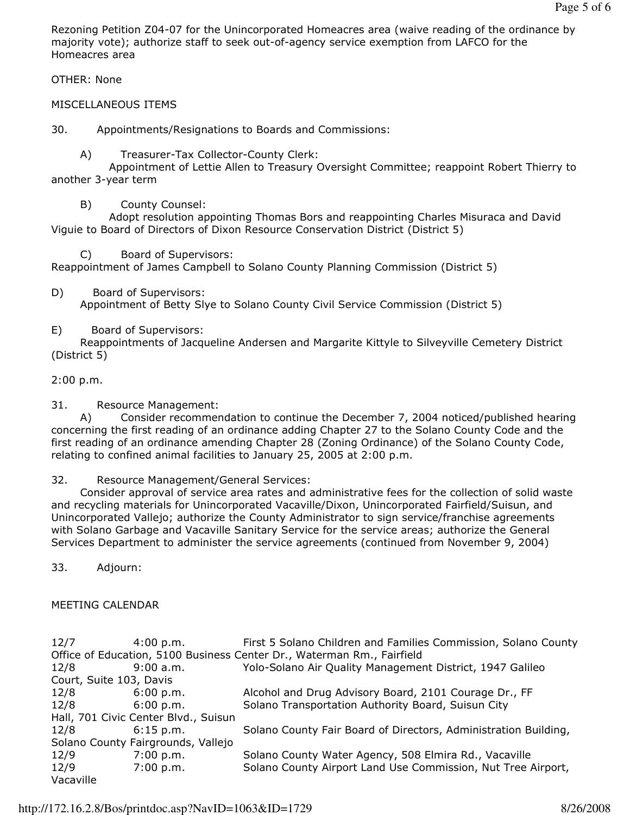Rezoning Petition Z04-07 for the Unincorporated Homeacres area (waive reading of the ordinance by majority vote); authorize staff to seek out-of-agency service exemption from LAFCO for the Homeacres area

OTHER: None

## MISCELLANEOUS ITEMS

30. Appointments/Resignations to Boards and Commissions:

A) Treasurer-Tax Collector-County Clerk:

 Appointment of Lettie Allen to Treasury Oversight Committee; reappoint Robert Thierry to another 3-year term

B) County Counsel:

 Adopt resolution appointing Thomas Bors and reappointing Charles Misuraca and David Viguie to Board of Directors of Dixon Resource Conservation District (District 5)

 C) Board of Supervisors: Reappointment of James Campbell to Solano County Planning Commission (District 5)

D) Board of Supervisors: Appointment of Betty Slye to Solano County Civil Service Commission (District 5)

## E) Board of Supervisors:

 Reappointments of Jacqueline Andersen and Margarite Kittyle to Silveyville Cemetery District (District 5)

2:00 p.m.

31. Resource Management:

 A) Consider recommendation to continue the December 7, 2004 noticed/published hearing concerning the first reading of an ordinance adding Chapter 27 to the Solano County Code and the first reading of an ordinance amending Chapter 28 (Zoning Ordinance) of the Solano County Code, relating to confined animal facilities to January 25, 2005 at 2:00 p.m.

32. Resource Management/General Services:

 Consider approval of service area rates and administrative fees for the collection of solid waste and recycling materials for Unincorporated Vacaville/Dixon, Unincorporated Fairfield/Suisun, and Unincorporated Vallejo; authorize the County Administrator to sign service/franchise agreements with Solano Garbage and Vacaville Sanitary Service for the service areas; authorize the General Services Department to administer the service agreements (continued from November 9, 2004)

33. Adjourn:

## MEETING CALENDAR

| 12/7                                                                   | 4:00 p.m.   | First 5 Solano Children and Families Commission, Solano County  |
|------------------------------------------------------------------------|-------------|-----------------------------------------------------------------|
| Office of Education, 5100 Business Center Dr., Waterman Rm., Fairfield |             |                                                                 |
| 12/8                                                                   | 9:00 a.m.   | Yolo-Solano Air Quality Management District, 1947 Galileo       |
| Court, Suite 103, Davis                                                |             |                                                                 |
| 12/8                                                                   | 6:00 p.m.   | Alcohol and Drug Advisory Board, 2101 Courage Dr., FF           |
| 12/8                                                                   | 6:00 p.m.   | Solano Transportation Authority Board, Suisun City              |
| Hall, 701 Civic Center Blvd., Suisun                                   |             |                                                                 |
| 12/8                                                                   | $6:15$ p.m. | Solano County Fair Board of Directors, Administration Building, |
| Solano County Fairgrounds, Vallejo                                     |             |                                                                 |
| 12/9                                                                   | 7:00 p.m.   | Solano County Water Agency, 508 Elmira Rd., Vacaville           |
| 12/9                                                                   | 7:00 p.m.   | Solano County Airport Land Use Commission, Nut Tree Airport,    |
| Vacaville                                                              |             |                                                                 |